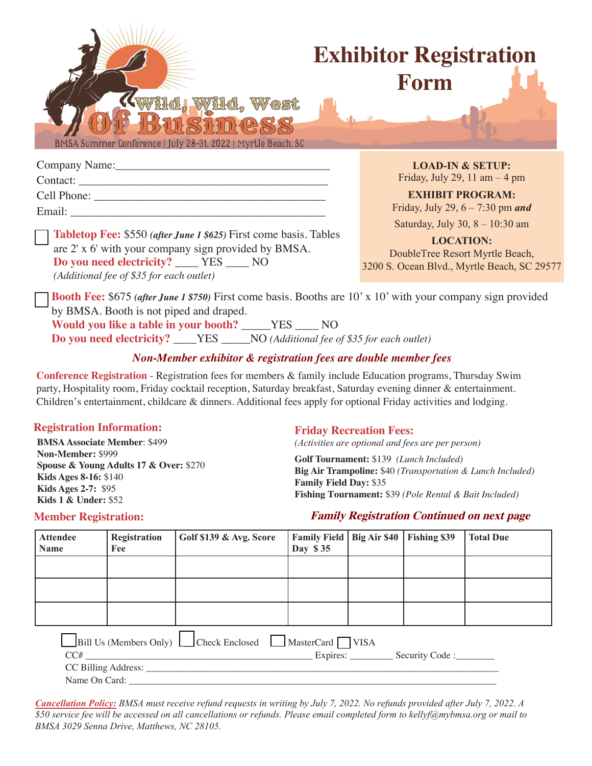

# **Exhibitor Registration Form**

Company Name: Contact: Cell Phone: Email:

**Tabletop Fee:** \$550 *(after June 1 \$625)* First come basis. Tables are 2' x 6' with your company sign provided by BMSA. **Do you need electricity?** \_\_\_\_ YES \_\_\_\_ NO *(Additional fee of \$35 for each outlet)*

**LOAD-IN & SETUP:**  Friday, July 29, 11 am  $-4 \text{ pm}$ 

**EXHIBIT PROGRAM:**  Friday, July 29, 6 – 7:30 pm *and* 

Saturday, July 30, 8 – 10:30 am

**LOCATION:**  DoubleTree Resort Myrtle Beach, 3200 S. Ocean Blvd., Myrtle Beach, SC 29577

**Booth Fee:** \$675 *(after June 1 \$750)* First come basis. Booths are 10' x 10' with your company sign provided by BMSA. Booth is not piped and draped. **Would you like a table in your booth?** \_\_\_\_\_YES \_\_\_\_ NO **Do you need electricity?** \_\_\_\_YES \_\_\_\_\_NO *(Additional fee of \$35 for each outlet)*

### *Non-Member exhibitor & registration fees are double member fees*

**Conference Registration** - Registration fees for members & family include Education programs, Thursday Swim party, Hospitality room, Friday cocktail reception, Saturday breakfast, Saturday evening dinner & entertainment. Children's entertainment, childcare & dinners. Additional fees apply for optional Friday activities and lodging.

### **Registration Information: Friday Recreation Fees:**

**BMSA Associate Member**: \$499 **Non-Member:** \$999 **Spouse & Young Adults 17 & Over:** \$270 **Kids Ages 8-16:** \$140 **Kids Ages 2-7:** \$95 **Kids 1 & Under:** \$52

*(Activities are optional and fees are per person)*

**Golf Tournament:** \$139 *(Lunch Included)* **Big Air Trampoline:** \$40 *(Transportation & Lunch Included)* **Family Field Day:** \$35 **Fishing Tournament:** \$39 *(Pole Rental & Bait Included)*

### **Family Registration Continued on next page**

| <b>Attendee</b><br><b>Name</b> | Registration<br>Fee | Golf \$139 & Avg. Score                               | <b>Family Field   Big Air \$40</b><br>Day \$35 | Fishing \$39   | <b>Total Due</b> |
|--------------------------------|---------------------|-------------------------------------------------------|------------------------------------------------|----------------|------------------|
|                                |                     |                                                       |                                                |                |                  |
|                                |                     |                                                       |                                                |                |                  |
|                                |                     |                                                       |                                                |                |                  |
| CC#                            | CC Billing Address: | Bill Us (Members Only) Check Enclosed MasterCard VISA |                                                | Security Code: |                  |

Name On Card: \_

*Cancellation Policy: BMSA must receive refund requests in writing by July 7, 2022. No refunds provided after July 7, 2022. A \$50 service fee will be accessed on all cancellations or refunds. Please email completed form to kellyf@mybmsa.org or mail to BMSA 3029 Senna Drive, Matthews, NC 28105.*

## **Member Registration:**